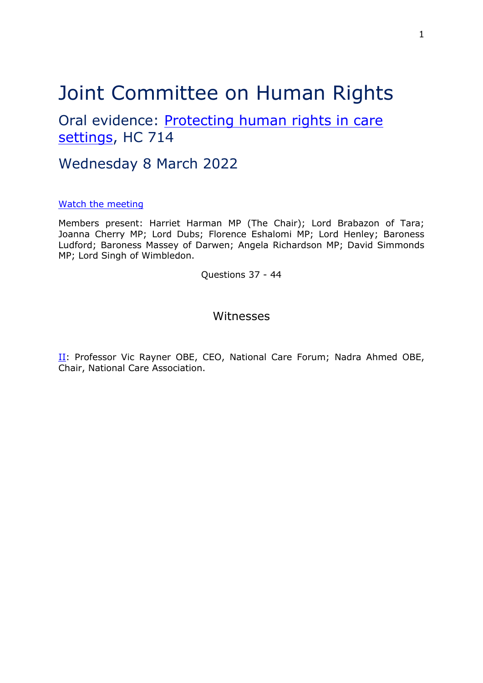# Joint Committee on Human Rights

Oral evidence: [Protecting](https://committees.parliament.uk/work/1495/protecting-human-rights-in-care-settings/) [human](https://committees.parliament.uk/work/1495/protecting-human-rights-in-care-settings/) [rights](https://committees.parliament.uk/work/1495/protecting-human-rights-in-care-settings/) [in](https://committees.parliament.uk/work/1495/protecting-human-rights-in-care-settings/) [care](https://committees.parliament.uk/work/1495/protecting-human-rights-in-care-settings/) [settings](https://committees.parliament.uk/work/1495/protecting-human-rights-in-care-settings/), HC 714

# Wednesday 8 March 2022

#### [Watch](https://parliamentlive.tv/event/index/8197df07-192b-409b-aa1f-79138937f7b3) [the](https://parliamentlive.tv/event/index/8197df07-192b-409b-aa1f-79138937f7b3) [meeting](https://parliamentlive.tv/event/index/8197df07-192b-409b-aa1f-79138937f7b3)

Members present: Harriet Harman MP (The Chair); Lord Brabazon of Tara; Joanna Cherry MP; Lord Dubs; Florence Eshalomi MP; Lord Henley; Baroness Ludford; Baroness Massey of Darwen; Angela Richardson MP; David Simmonds MP; Lord Singh of Wimbledon.

Questions 37 - 44

## Witnesses

II: Professor Vic Rayner OBE, CEO, National Care Forum; Nadra Ahmed OBE, Chair, National Care Association.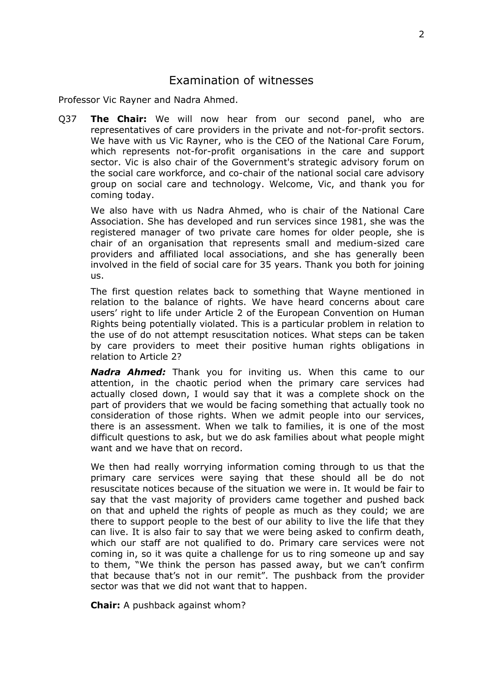## Examination of witnesses

Professor Vic Rayner and Nadra Ahmed.

Q37 **The Chair:** We will now hear from our second panel, who are representatives of care providers in the private and not-for-profit sectors. We have with us Vic Rayner, who is the CEO of the National Care Forum, which represents not-for-profit organisations in the care and support sector. Vic is also chair of the Government's strategic advisory forum on the social care workforce, and co-chair of the national social care advisory group on social care and technology. Welcome, Vic, and thank you for coming today.

We also have with us Nadra Ahmed, who is chair of the National Care Association. She has developed and run services since 1981, she was the registered manager of two private care homes for older people, she is chair of an organisation that represents small and medium-sized care providers and affiliated local associations, and she has generally been involved in the field of social care for 35 years. Thank you both for joining us.

The first question relates back to something that Wayne mentioned in relation to the balance of rights. We have heard concerns about care users' right to life under Article 2 of the European Convention on Human Rights being potentially violated. This is a particular problem in relation to the use of do not attempt resuscitation notices. What steps can be taken by care providers to meet their positive human rights obligations in relation to Article 2?

*Nadra Ahmed:* Thank you for inviting us. When this came to our attention, in the chaotic period when the primary care services had actually closed down, I would say that it was a complete shock on the part of providers that we would be facing something that actually took no consideration of those rights. When we admit people into our services, there is an assessment. When we talk to families, it is one of the most difficult questions to ask, but we do ask families about what people might want and we have that on record.

We then had really worrying information coming through to us that the primary care services were saying that these should all be do not resuscitate notices because of the situation we were in. It would be fair to say that the vast majority of providers came together and pushed back on that and upheld the rights of people as much as they could; we are there to support people to the best of our ability to live the life that they can live. It is also fair to say that we were being asked to confirm death, which our staff are not qualified to do. Primary care services were not coming in, so it was quite a challenge for us to ring someone up and say to them, "We think the person has passed away, but we can't confirm that because that's not in our remit". The pushback from the provider sector was that we did not want that to happen.

**Chair:** A pushback against whom?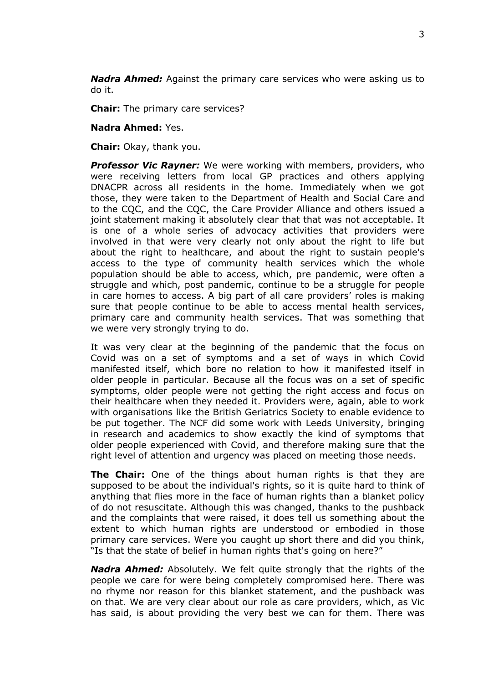*Nadra Ahmed:* Against the primary care services who were asking us to do it.

**Chair:** The primary care services?

#### **Nadra Ahmed:** Yes.

**Chair:** Okay, thank you.

*Professor Vic Rayner:* We were working with members, providers, who were receiving letters from local GP practices and others applying DNACPR across all residents in the home. Immediately when we got those, they were taken to the Department of Health and Social Care and to the CQC, and the CQC, the Care Provider Alliance and others issued a joint statement making it absolutely clear that that was not acceptable. It is one of a whole series of advocacy activities that providers were involved in that were very clearly not only about the right to life but about the right to healthcare, and about the right to sustain people's access to the type of community health services which the whole population should be able to access, which, pre pandemic, were often a struggle and which, post pandemic, continue to be a struggle for people in care homes to access. A big part of all care providers' roles is making sure that people continue to be able to access mental health services, primary care and community health services. That was something that we were very strongly trying to do.

It was very clear at the beginning of the pandemic that the focus on Covid was on a set of symptoms and a set of ways in which Covid manifested itself, which bore no relation to how it manifested itself in older people in particular. Because all the focus was on a set of specific symptoms, older people were not getting the right access and focus on their healthcare when they needed it. Providers were, again, able to work with organisations like the British Geriatrics Society to enable evidence to be put together. The NCF did some work with Leeds University, bringing in research and academics to show exactly the kind of symptoms that older people experienced with Covid, and therefore making sure that the right level of attention and urgency was placed on meeting those needs.

**The Chair:** One of the things about human rights is that they are supposed to be about the individual's rights, so it is quite hard to think of anything that flies more in the face of human rights than a blanket policy of do not resuscitate. Although this was changed, thanks to the pushback and the complaints that were raised, it does tell us something about the extent to which human rights are understood or embodied in those primary care services. Were you caught up short there and did you think, "Is that the state of belief in human rights that's going on here?"

*Nadra Ahmed:* Absolutely. We felt quite strongly that the rights of the people we care for were being completely compromised here. There was no rhyme nor reason for this blanket statement, and the pushback was on that. We are very clear about our role as care providers, which, as Vic has said, is about providing the very best we can for them. There was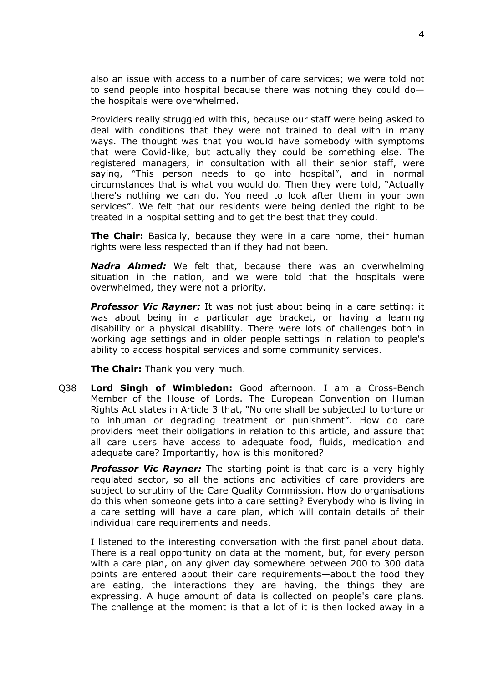also an issue with access to a number of care services; we were told not to send people into hospital because there was nothing they could do the hospitals were overwhelmed.

Providers really struggled with this, because our staff were being asked to deal with conditions that they were not trained to deal with in many ways. The thought was that you would have somebody with symptoms that were Covid-like, but actually they could be something else. The registered managers, in consultation with all their senior staff, were saying, "This person needs to go into hospital", and in normal circumstances that is what you would do. Then they were told, "Actually there's nothing we can do. You need to look after them in your own services". We felt that our residents were being denied the right to be treated in a hospital setting and to get the best that they could.

**The Chair:** Basically, because they were in a care home, their human rights were less respected than if they had not been.

*Nadra Ahmed:* We felt that, because there was an overwhelming situation in the nation, and we were told that the hospitals were overwhelmed, they were not a priority.

**Professor Vic Rayner:** It was not just about being in a care setting; it was about being in a particular age bracket, or having a learning disability or a physical disability. There were lots of challenges both in working age settings and in older people settings in relation to people's ability to access hospital services and some community services.

**The Chair:** Thank you very much.

Q38 **Lord Singh of Wimbledon:** Good afternoon. I am a Cross-Bench Member of the House of Lords. The European Convention on Human Rights Act states in Article 3 that, "No one shall be subjected to torture or to inhuman or degrading treatment or punishment". How do care providers meet their obligations in relation to this article, and assure that all care users have access to adequate food, fluids, medication and adequate care? Importantly, how is this monitored?

*Professor Vic Rayner:* The starting point is that care is a very highly regulated sector, so all the actions and activities of care providers are subject to scrutiny of the Care Quality Commission. How do organisations do this when someone gets into a care setting? Everybody who is living in a care setting will have a care plan, which will contain details of their individual care requirements and needs.

I listened to the interesting conversation with the first panel about data. There is a real opportunity on data at the moment, but, for every person with a care plan, on any given day somewhere between 200 to 300 data points are entered about their care requirements—about the food they are eating, the interactions they are having, the things they are expressing. A huge amount of data is collected on people's care plans. The challenge at the moment is that a lot of it is then locked away in a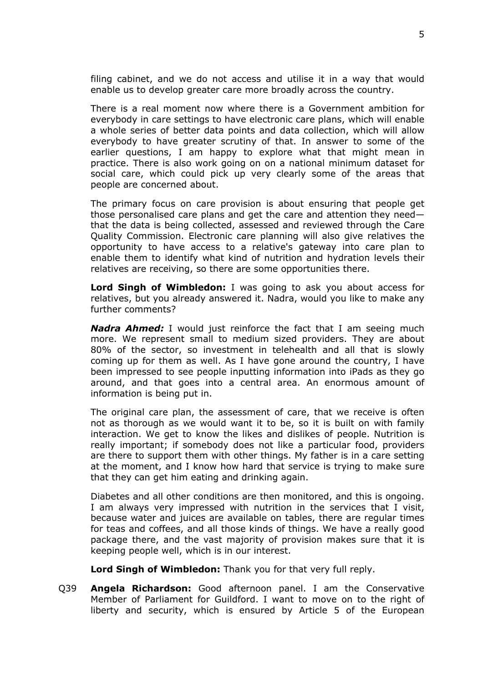filing cabinet, and we do not access and utilise it in a way that would enable us to develop greater care more broadly across the country.

There is a real moment now where there is a Government ambition for everybody in care settings to have electronic care plans, which will enable a whole series of better data points and data collection, which will allow everybody to have greater scrutiny of that. In answer to some of the earlier questions, I am happy to explore what that might mean in practice. There is also work going on on a national minimum dataset for social care, which could pick up very clearly some of the areas that people are concerned about.

The primary focus on care provision is about ensuring that people get those personalised care plans and get the care and attention they need that the data is being collected, assessed and reviewed through the Care Quality Commission. Electronic care planning will also give relatives the opportunity to have access to a relative's gateway into care plan to enable them to identify what kind of nutrition and hydration levels their relatives are receiving, so there are some opportunities there.

**Lord Singh of Wimbledon:** I was going to ask you about access for relatives, but you already answered it. Nadra, would you like to make any further comments?

*Nadra Ahmed:* I would just reinforce the fact that I am seeing much more. We represent small to medium sized providers. They are about 80% of the sector, so investment in telehealth and all that is slowly coming up for them as well. As I have gone around the country, I have been impressed to see people inputting information into iPads as they go around, and that goes into a central area. An enormous amount of information is being put in.

The original care plan, the assessment of care, that we receive is often not as thorough as we would want it to be, so it is built on with family interaction. We get to know the likes and dislikes of people. Nutrition is really important; if somebody does not like a particular food, providers are there to support them with other things. My father is in a care setting at the moment, and I know how hard that service is trying to make sure that they can get him eating and drinking again.

Diabetes and all other conditions are then monitored, and this is ongoing. I am always very impressed with nutrition in the services that I visit, because water and juices are available on tables, there are regular times for teas and coffees, and all those kinds of things. We have a really good package there, and the vast majority of provision makes sure that it is keeping people well, which is in our interest.

**Lord Singh of Wimbledon:** Thank you for that very full reply.

Q39 **Angela Richardson:** Good afternoon panel. I am the Conservative Member of Parliament for Guildford. I want to move on to the right of liberty and security, which is ensured by Article 5 of the European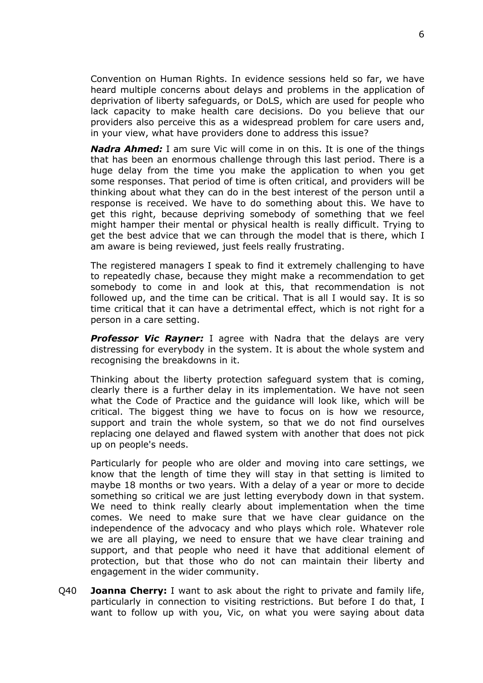Convention on Human Rights. In evidence sessions held so far, we have heard multiple concerns about delays and problems in the application of deprivation of liberty safeguards, or DoLS, which are used for people who lack capacity to make health care decisions. Do you believe that our providers also perceive this as a widespread problem for care users and, in your view, what have providers done to address this issue?

*Nadra Ahmed:* I am sure Vic will come in on this. It is one of the things that has been an enormous challenge through this last period. There is a huge delay from the time you make the application to when you get some responses. That period of time is often critical, and providers will be thinking about what they can do in the best interest of the person until a response is received. We have to do something about this. We have to get this right, because depriving somebody of something that we feel might hamper their mental or physical health is really difficult. Trying to get the best advice that we can through the model that is there, which I am aware is being reviewed, just feels really frustrating.

The registered managers I speak to find it extremely challenging to have to repeatedly chase, because they might make a recommendation to get somebody to come in and look at this, that recommendation is not followed up, and the time can be critical. That is all I would say. It is so time critical that it can have a detrimental effect, which is not right for a person in a care setting.

*Professor Vic Rayner:* I agree with Nadra that the delays are very distressing for everybody in the system. It is about the whole system and recognising the breakdowns in it.

Thinking about the liberty protection safeguard system that is coming, clearly there is a further delay in its implementation. We have not seen what the Code of Practice and the guidance will look like, which will be critical. The biggest thing we have to focus on is how we resource, support and train the whole system, so that we do not find ourselves replacing one delayed and flawed system with another that does not pick up on people's needs.

Particularly for people who are older and moving into care settings, we know that the length of time they will stay in that setting is limited to maybe 18 months or two years. With a delay of a year or more to decide something so critical we are just letting everybody down in that system. We need to think really clearly about implementation when the time comes. We need to make sure that we have clear guidance on the independence of the advocacy and who plays which role. Whatever role we are all playing, we need to ensure that we have clear training and support, and that people who need it have that additional element of protection, but that those who do not can maintain their liberty and engagement in the wider community.

Q40 **Joanna Cherry:** I want to ask about the right to private and family life, particularly in connection to visiting restrictions. But before I do that, I want to follow up with you, Vic, on what you were saying about data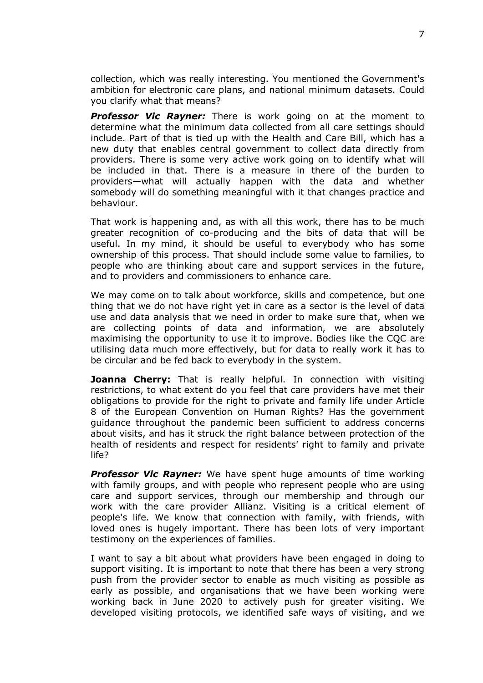collection, which was really interesting. You mentioned the Government's ambition for electronic care plans, and national minimum datasets. Could you clarify what that means?

*Professor Vic Rayner:* There is work going on at the moment to determine what the minimum data collected from all care settings should include. Part of that is tied up with the Health and Care Bill, which has a new duty that enables central government to collect data directly from providers. There is some very active work going on to identify what will be included in that. There is a measure in there of the burden to providers—what will actually happen with the data and whether somebody will do something meaningful with it that changes practice and behaviour.

That work is happening and, as with all this work, there has to be much greater recognition of co-producing and the bits of data that will be useful. In my mind, it should be useful to everybody who has some ownership of this process. That should include some value to families, to people who are thinking about care and support services in the future, and to providers and commissioners to enhance care.

We may come on to talk about workforce, skills and competence, but one thing that we do not have right yet in care as a sector is the level of data use and data analysis that we need in order to make sure that, when we are collecting points of data and information, we are absolutely maximising the opportunity to use it to improve. Bodies like the CQC are utilising data much more effectively, but for data to really work it has to be circular and be fed back to everybody in the system.

**Joanna Cherry:** That is really helpful. In connection with visiting restrictions, to what extent do you feel that care providers have met their obligations to provide for the right to private and family life under Article 8 of the European Convention on Human Rights? Has the government guidance throughout the pandemic been sufficient to address concerns about visits, and has it struck the right balance between protection of the health of residents and respect for residents' right to family and private life?

*Professor Vic Rayner:* We have spent huge amounts of time working with family groups, and with people who represent people who are using care and support services, through our membership and through our work with the care provider Allianz. Visiting is a critical element of people's life. We know that connection with family, with friends, with loved ones is hugely important. There has been lots of very important testimony on the experiences of families.

I want to say a bit about what providers have been engaged in doing to support visiting. It is important to note that there has been a very strong push from the provider sector to enable as much visiting as possible as early as possible, and organisations that we have been working were working back in June 2020 to actively push for greater visiting. We developed visiting protocols, we identified safe ways of visiting, and we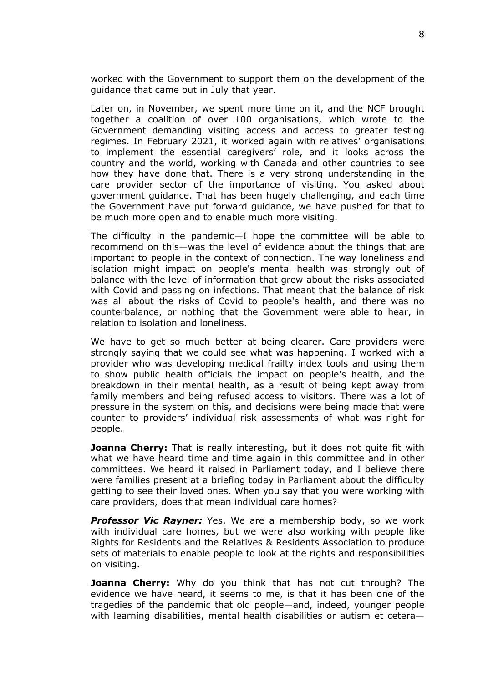worked with the Government to support them on the development of the guidance that came out in July that year.

Later on, in November, we spent more time on it, and the NCF brought together a coalition of over 100 organisations, which wrote to the Government demanding visiting access and access to greater testing regimes. In February 2021, it worked again with relatives' organisations to implement the essential caregivers' role, and it looks across the country and the world, working with Canada and other countries to see how they have done that. There is a very strong understanding in the care provider sector of the importance of visiting. You asked about government guidance. That has been hugely challenging, and each time the Government have put forward guidance, we have pushed for that to be much more open and to enable much more visiting.

The difficulty in the pandemic—I hope the committee will be able to recommend on this—was the level of evidence about the things that are important to people in the context of connection. The way loneliness and isolation might impact on people's mental health was strongly out of balance with the level of information that grew about the risks associated with Covid and passing on infections. That meant that the balance of risk was all about the risks of Covid to people's health, and there was no counterbalance, or nothing that the Government were able to hear, in relation to isolation and loneliness.

We have to get so much better at being clearer. Care providers were strongly saying that we could see what was happening. I worked with a provider who was developing medical frailty index tools and using them to show public health officials the impact on people's health, and the breakdown in their mental health, as a result of being kept away from family members and being refused access to visitors. There was a lot of pressure in the system on this, and decisions were being made that were counter to providers' individual risk assessments of what was right for people.

**Joanna Cherry:** That is really interesting, but it does not quite fit with what we have heard time and time again in this committee and in other committees. We heard it raised in Parliament today, and I believe there were families present at a briefing today in Parliament about the difficulty getting to see their loved ones. When you say that you were working with care providers, does that mean individual care homes?

*Professor Vic Rayner:* Yes. We are a membership body, so we work with individual care homes, but we were also working with people like Rights for Residents and the Relatives & Residents Association to produce sets of materials to enable people to look at the rights and responsibilities on visiting.

**Joanna Cherry:** Why do you think that has not cut through? The evidence we have heard, it seems to me, is that it has been one of the tragedies of the pandemic that old people—and, indeed, younger people with learning disabilities, mental health disabilities or autism et cetera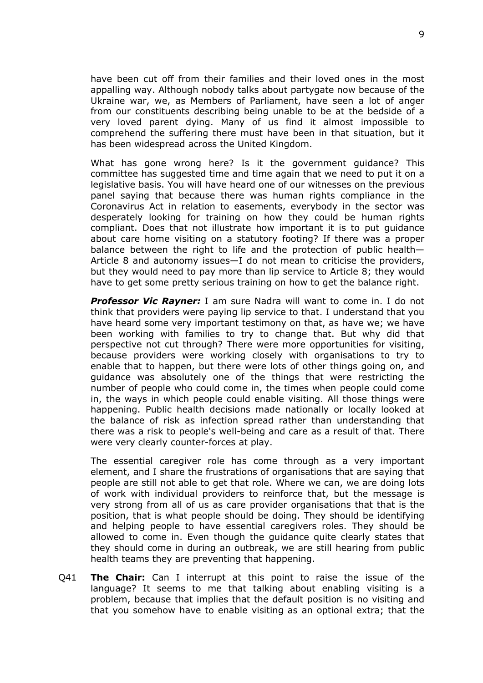have been cut off from their families and their loved ones in the most appalling way. Although nobody talks about partygate now because of the Ukraine war, we, as Members of Parliament, have seen a lot of anger from our constituents describing being unable to be at the bedside of a very loved parent dying. Many of us find it almost impossible to comprehend the suffering there must have been in that situation, but it has been widespread across the United Kingdom.

What has gone wrong here? Is it the government guidance? This committee has suggested time and time again that we need to put it on a legislative basis. You will have heard one of our witnesses on the previous panel saying that because there was human rights compliance in the Coronavirus Act in relation to easements, everybody in the sector was desperately looking for training on how they could be human rights compliant. Does that not illustrate how important it is to put guidance about care home visiting on a statutory footing? If there was a proper balance between the right to life and the protection of public health— Article 8 and autonomy issues—I do not mean to criticise the providers, but they would need to pay more than lip service to Article 8; they would have to get some pretty serious training on how to get the balance right.

*Professor Vic Rayner:* I am sure Nadra will want to come in. I do not think that providers were paying lip service to that. I understand that you have heard some very important testimony on that, as have we; we have been working with families to try to change that. But why did that perspective not cut through? There were more opportunities for visiting, because providers were working closely with organisations to try to enable that to happen, but there were lots of other things going on, and guidance was absolutely one of the things that were restricting the number of people who could come in, the times when people could come in, the ways in which people could enable visiting. All those things were happening. Public health decisions made nationally or locally looked at the balance of risk as infection spread rather than understanding that there was a risk to people's well-being and care as a result of that. There were very clearly counter-forces at play.

The essential caregiver role has come through as a very important element, and I share the frustrations of organisations that are saying that people are still not able to get that role. Where we can, we are doing lots of work with individual providers to reinforce that, but the message is very strong from all of us as care provider organisations that that is the position, that is what people should be doing. They should be identifying and helping people to have essential caregivers roles. They should be allowed to come in. Even though the guidance quite clearly states that they should come in during an outbreak, we are still hearing from public health teams they are preventing that happening.

Q41 **The Chair:** Can I interrupt at this point to raise the issue of the language? It seems to me that talking about enabling visiting is a problem, because that implies that the default position is no visiting and that you somehow have to enable visiting as an optional extra; that the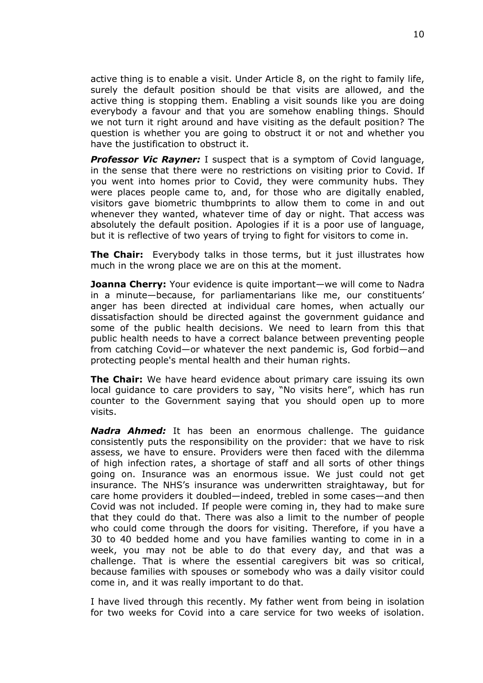active thing is to enable a visit. Under Article 8, on the right to family life, surely the default position should be that visits are allowed, and the active thing is stopping them. Enabling a visit sounds like you are doing everybody a favour and that you are somehow enabling things. Should we not turn it right around and have visiting as the default position? The question is whether you are going to obstruct it or not and whether you have the justification to obstruct it.

*Professor Vic Rayner:* I suspect that is a symptom of Covid language, in the sense that there were no restrictions on visiting prior to Covid. If you went into homes prior to Covid, they were community hubs. They were places people came to, and, for those who are digitally enabled, visitors gave biometric thumbprints to allow them to come in and out whenever they wanted, whatever time of day or night. That access was absolutely the default position. Apologies if it is a poor use of language, but it is reflective of two years of trying to fight for visitors to come in.

**The Chair:** Everybody talks in those terms, but it just illustrates how much in the wrong place we are on this at the moment.

**Joanna Cherry:** Your evidence is quite important—we will come to Nadra in a minute—because, for parliamentarians like me, our constituents' anger has been directed at individual care homes, when actually our dissatisfaction should be directed against the government guidance and some of the public health decisions. We need to learn from this that public health needs to have a correct balance between preventing people from catching Covid—or whatever the next pandemic is, God forbid—and protecting people's mental health and their human rights.

**The Chair:** We have heard evidence about primary care issuing its own local guidance to care providers to say, "No visits here", which has run counter to the Government saying that you should open up to more visits.

*Nadra Ahmed:* It has been an enormous challenge. The guidance consistently puts the responsibility on the provider: that we have to risk assess, we have to ensure. Providers were then faced with the dilemma of high infection rates, a shortage of staff and all sorts of other things going on. Insurance was an enormous issue. We just could not get insurance. The NHS's insurance was underwritten straightaway, but for care home providers it doubled—indeed, trebled in some cases—and then Covid was not included. If people were coming in, they had to make sure that they could do that. There was also a limit to the number of people who could come through the doors for visiting. Therefore, if you have a 30 to 40 bedded home and you have families wanting to come in in a week, you may not be able to do that every day, and that was a challenge. That is where the essential caregivers bit was so critical, because families with spouses or somebody who was a daily visitor could come in, and it was really important to do that.

I have lived through this recently. My father went from being in isolation for two weeks for Covid into a care service for two weeks of isolation.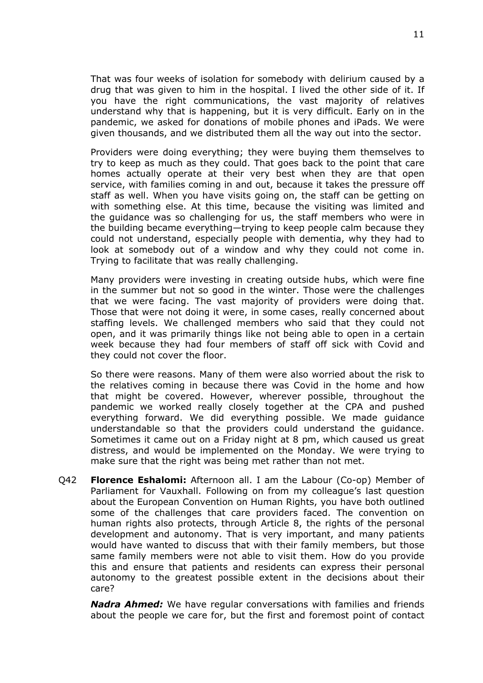That was four weeks of isolation for somebody with delirium caused by a drug that was given to him in the hospital. I lived the other side of it. If you have the right communications, the vast majority of relatives understand why that is happening, but it is very difficult. Early on in the pandemic, we asked for donations of mobile phones and iPads. We were given thousands, and we distributed them all the way out into the sector.

Providers were doing everything; they were buying them themselves to try to keep as much as they could. That goes back to the point that care homes actually operate at their very best when they are that open service, with families coming in and out, because it takes the pressure off staff as well. When you have visits going on, the staff can be getting on with something else. At this time, because the visiting was limited and the guidance was so challenging for us, the staff members who were in the building became everything—trying to keep people calm because they could not understand, especially people with dementia, why they had to look at somebody out of a window and why they could not come in. Trying to facilitate that was really challenging.

Many providers were investing in creating outside hubs, which were fine in the summer but not so good in the winter. Those were the challenges that we were facing. The vast majority of providers were doing that. Those that were not doing it were, in some cases, really concerned about staffing levels. We challenged members who said that they could not open, and it was primarily things like not being able to open in a certain week because they had four members of staff off sick with Covid and they could not cover the floor.

So there were reasons. Many of them were also worried about the risk to the relatives coming in because there was Covid in the home and how that might be covered. However, wherever possible, throughout the pandemic we worked really closely together at the CPA and pushed everything forward. We did everything possible. We made guidance understandable so that the providers could understand the guidance. Sometimes it came out on a Friday night at 8 pm, which caused us great distress, and would be implemented on the Monday. We were trying to make sure that the right was being met rather than not met.

Q42 **Florence Eshalomi:** Afternoon all. I am the Labour (Co-op) Member of Parliament for Vauxhall. Following on from my colleague's last question about the European Convention on Human Rights, you have both outlined some of the challenges that care providers faced. The convention on human rights also protects, through Article 8, the rights of the personal development and autonomy. That is very important, and many patients would have wanted to discuss that with their family members, but those same family members were not able to visit them. How do you provide this and ensure that patients and residents can express their personal autonomy to the greatest possible extent in the decisions about their care?

*Nadra Ahmed:* We have regular conversations with families and friends about the people we care for, but the first and foremost point of contact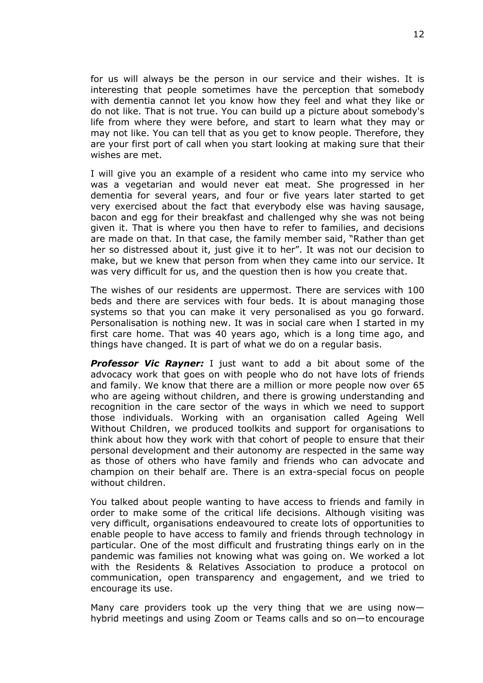for us will always be the person in our service and their wishes. It is interesting that people sometimes have the perception that somebody with dementia cannot let you know how they feel and what they like or do not like. That is not true. You can build up a picture about somebody's life from where they were before, and start to learn what they may or may not like. You can tell that as you get to know people. Therefore, they are your first port of call when you start looking at making sure that their wishes are met.

I will give you an example of a resident who came into my service who was a vegetarian and would never eat meat. She progressed in her dementia for several years, and four or five years later started to get very exercised about the fact that everybody else was having sausage, bacon and egg for their breakfast and challenged why she was not being given it. That is where you then have to refer to families, and decisions are made on that. In that case, the family member said, "Rather than get her so distressed about it, just give it to her". It was not our decision to make, but we knew that person from when they came into our service. It was very difficult for us, and the question then is how you create that.

The wishes of our residents are uppermost. There are services with 100 beds and there are services with four beds. It is about managing those systems so that you can make it very personalised as you go forward. Personalisation is nothing new. It was in social care when I started in my first care home. That was 40 years ago, which is a long time ago, and things have changed. It is part of what we do on a regular basis.

*Professor Vic Rayner:* I just want to add a bit about some of the advocacy work that goes on with people who do not have lots of friends and family. We know that there are a million or more people now over 65 who are ageing without children, and there is growing understanding and recognition in the care sector of the ways in which we need to support those individuals. Working with an organisation called Ageing Well Without Children, we produced toolkits and support for organisations to think about how they work with that cohort of people to ensure that their personal development and their autonomy are respected in the same way as those of others who have family and friends who can advocate and champion on their behalf are. There is an extra-special focus on people without children.

You talked about people wanting to have access to friends and family in order to make some of the critical life decisions. Although visiting was very difficult, organisations endeavoured to create lots of opportunities to enable people to have access to family and friends through technology in particular. One of the most difficult and frustrating things early on in the pandemic was families not knowing what was going on. We worked a lot with the Residents & Relatives Association to produce a protocol on communication, open transparency and engagement, and we tried to encourage its use.

Many care providers took up the very thing that we are using now hybrid meetings and using Zoom or Teams calls and so on—to encourage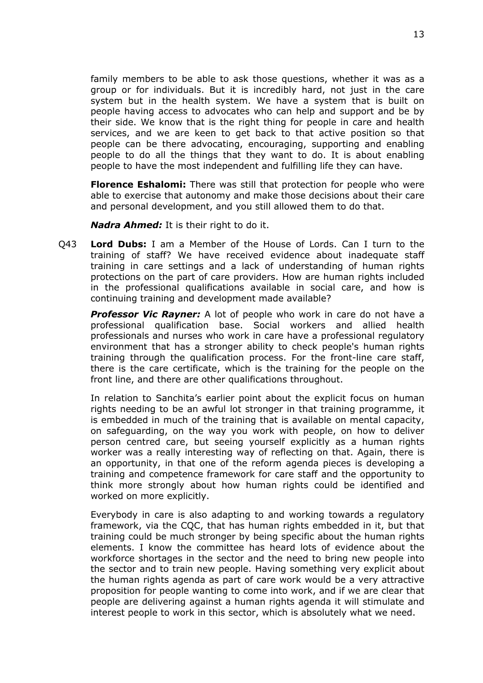family members to be able to ask those questions, whether it was as a group or for individuals. But it is incredibly hard, not just in the care system but in the health system. We have a system that is built on people having access to advocates who can help and support and be by their side. We know that is the right thing for people in care and health services, and we are keen to get back to that active position so that people can be there advocating, encouraging, supporting and enabling people to do all the things that they want to do. It is about enabling people to have the most independent and fulfilling life they can have.

**Florence Eshalomi:** There was still that protection for people who were able to exercise that autonomy and make those decisions about their care and personal development, and you still allowed them to do that.

*Nadra Ahmed:* It is their right to do it.

Q43 **Lord Dubs:** I am a Member of the House of Lords. Can I turn to the training of staff? We have received evidence about inadequate staff training in care settings and a lack of understanding of human rights protections on the part of care providers. How are human rights included in the professional qualifications available in social care, and how is continuing training and development made available?

**Professor Vic Rayner:** A lot of people who work in care do not have a professional qualification base. Social workers and allied health professionals and nurses who work in care have a professional regulatory environment that has a stronger ability to check people's human rights training through the qualification process. For the front-line care staff, there is the care certificate, which is the training for the people on the front line, and there are other qualifications throughout.

In relation to Sanchita's earlier point about the explicit focus on human rights needing to be an awful lot stronger in that training programme, it is embedded in much of the training that is available on mental capacity, on safeguarding, on the way you work with people, on how to deliver person centred care, but seeing yourself explicitly as a human rights worker was a really interesting way of reflecting on that. Again, there is an opportunity, in that one of the reform agenda pieces is developing a training and competence framework for care staff and the opportunity to think more strongly about how human rights could be identified and worked on more explicitly.

Everybody in care is also adapting to and working towards a regulatory framework, via the CQC, that has human rights embedded in it, but that training could be much stronger by being specific about the human rights elements. I know the committee has heard lots of evidence about the workforce shortages in the sector and the need to bring new people into the sector and to train new people. Having something very explicit about the human rights agenda as part of care work would be a very attractive proposition for people wanting to come into work, and if we are clear that people are delivering against a human rights agenda it will stimulate and interest people to work in this sector, which is absolutely what we need.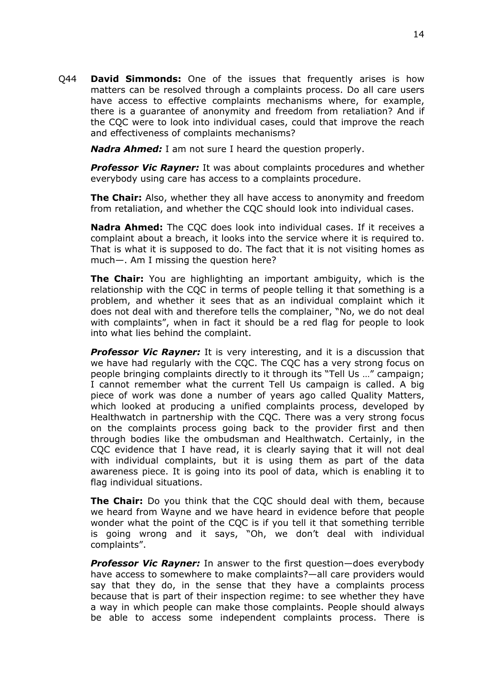Q44 **David Simmonds:** One of the issues that frequently arises is how matters can be resolved through a complaints process. Do all care users have access to effective complaints mechanisms where, for example, there is a guarantee of anonymity and freedom from retaliation? And if the CQC were to look into individual cases, could that improve the reach and effectiveness of complaints mechanisms?

*Nadra Ahmed:* I am not sure I heard the question properly.

*Professor Vic Rayner:* It was about complaints procedures and whether everybody using care has access to a complaints procedure.

**The Chair:** Also, whether they all have access to anonymity and freedom from retaliation, and whether the CQC should look into individual cases.

**Nadra Ahmed:** The CQC does look into individual cases. If it receives a complaint about a breach, it looks into the service where it is required to. That is what it is supposed to do. The fact that it is not visiting homes as much—. Am I missing the question here?

**The Chair:** You are highlighting an important ambiguity, which is the relationship with the CQC in terms of people telling it that something is a problem, and whether it sees that as an individual complaint which it does not deal with and therefore tells the complainer, "No, we do not deal with complaints", when in fact it should be a red flag for people to look into what lies behind the complaint.

*Professor Vic Rayner:* It is very interesting, and it is a discussion that we have had regularly with the CQC. The CQC has a very strong focus on people bringing complaints directly to it through its "Tell Us …" campaign; I cannot remember what the current Tell Us campaign is called. A big piece of work was done a number of years ago called Quality Matters, which looked at producing a unified complaints process, developed by Healthwatch in partnership with the CQC. There was a very strong focus on the complaints process going back to the provider first and then through bodies like the ombudsman and Healthwatch. Certainly, in the CQC evidence that I have read, it is clearly saying that it will not deal with individual complaints, but it is using them as part of the data awareness piece. It is going into its pool of data, which is enabling it to flag individual situations.

**The Chair:** Do you think that the CQC should deal with them, because we heard from Wayne and we have heard in evidence before that people wonder what the point of the CQC is if you tell it that something terrible is going wrong and it says, "Oh, we don't deal with individual complaints".

*Professor Vic Rayner:* In answer to the first question—does everybody have access to somewhere to make complaints?—all care providers would say that they do, in the sense that they have a complaints process because that is part of their inspection regime: to see whether they have a way in which people can make those complaints. People should always be able to access some independent complaints process. There is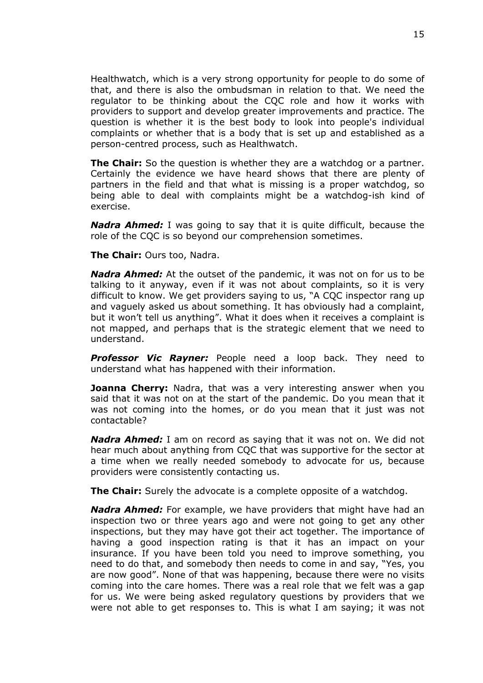Healthwatch, which is a very strong opportunity for people to do some of that, and there is also the ombudsman in relation to that. We need the regulator to be thinking about the CQC role and how it works with providers to support and develop greater improvements and practice. The question is whether it is the best body to look into people's individual complaints or whether that is a body that is set up and established as a person-centred process, such as Healthwatch.

**The Chair:** So the question is whether they are a watchdog or a partner. Certainly the evidence we have heard shows that there are plenty of partners in the field and that what is missing is a proper watchdog, so being able to deal with complaints might be a watchdog-ish kind of exercise.

*Nadra Ahmed:* I was going to say that it is quite difficult, because the role of the CQC is so beyond our comprehension sometimes.

**The Chair:** Ours too, Nadra.

*Nadra Ahmed:* At the outset of the pandemic, it was not on for us to be talking to it anyway, even if it was not about complaints, so it is very difficult to know. We get providers saying to us, "A CQC inspector rang up and vaguely asked us about something. It has obviously had a complaint, but it won't tell us anything". What it does when it receives a complaint is not mapped, and perhaps that is the strategic element that we need to understand.

*Professor Vic Rayner:* People need a loop back. They need to understand what has happened with their information.

**Joanna Cherry:** Nadra, that was a very interesting answer when you said that it was not on at the start of the pandemic. Do you mean that it was not coming into the homes, or do you mean that it just was not contactable?

*Nadra Ahmed:* I am on record as saying that it was not on. We did not hear much about anything from CQC that was supportive for the sector at a time when we really needed somebody to advocate for us, because providers were consistently contacting us.

**The Chair:** Surely the advocate is a complete opposite of a watchdog.

*Nadra Ahmed:* For example, we have providers that might have had an inspection two or three years ago and were not going to get any other inspections, but they may have got their act together. The importance of having a good inspection rating is that it has an impact on your insurance. If you have been told you need to improve something, you need to do that, and somebody then needs to come in and say, "Yes, you are now good". None of that was happening, because there were no visits coming into the care homes. There was a real role that we felt was a gap for us. We were being asked regulatory questions by providers that we were not able to get responses to. This is what I am saying; it was not